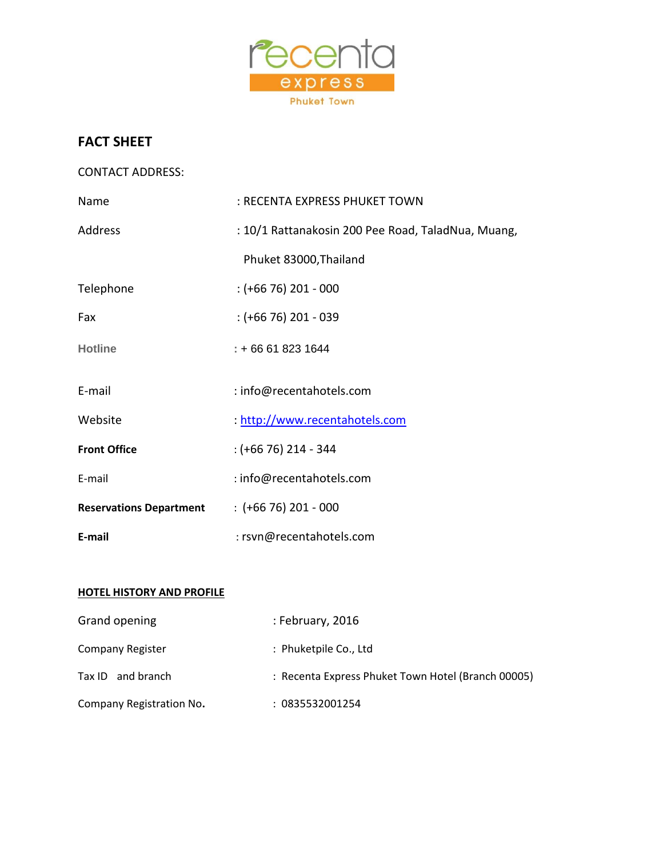

# **FACT SHEET**

CONTACT ADDRESS:

| Name                           | : RECENTA EXPRESS PHUKET TOWN                      |  |  |
|--------------------------------|----------------------------------------------------|--|--|
| Address                        | : 10/1 Rattanakosin 200 Pee Road, TaladNua, Muang, |  |  |
|                                | Phuket 83000, Thailand                             |  |  |
| Telephone                      | $:(+6676)$ 201 - 000                               |  |  |
| Fax                            | $:(+6676)$ 201 - 039                               |  |  |
| <b>Hotline</b>                 | $: +66618231644$                                   |  |  |
|                                |                                                    |  |  |
| E-mail                         | : info@recentahotels.com                           |  |  |
| Website                        | : http://www.recentahotels.com                     |  |  |
| <b>Front Office</b>            | $:(+6676)$ 214 - 344                               |  |  |
| E-mail                         | : info@recentahotels.com                           |  |  |
| <b>Reservations Department</b> | $:(+6676)$ 201 - 000                               |  |  |
| E-mail                         | : rsvn@recentahotels.com                           |  |  |

## **HOTEL HISTORY AND PROFILE**

| Grand opening            | : February, 2016                                   |
|--------------------------|----------------------------------------------------|
| Company Register         | : Phuketpile Co., Ltd                              |
| Tax ID and branch        | : Recenta Express Phuket Town Hotel (Branch 00005) |
| Company Registration No. | : 0835532001254                                    |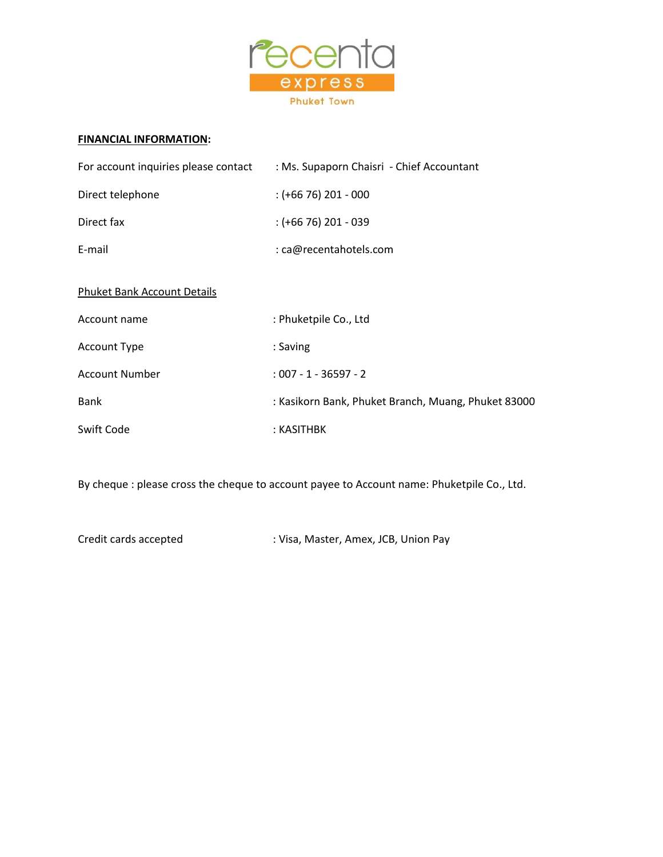

#### **FINANCIAL INFORMATION:**

| For account inquiries please contact | : Ms. Supaporn Chaisri - Chief Accountant           |  |  |
|--------------------------------------|-----------------------------------------------------|--|--|
| Direct telephone                     | $:(+6676)$ 201 - 000                                |  |  |
| Direct fax                           | $:(+6676)$ 201 - 039                                |  |  |
| E-mail                               | : ca@recentahotels.com                              |  |  |
| <b>Phuket Bank Account Details</b>   |                                                     |  |  |
| Account name                         | : Phuketpile Co., Ltd                               |  |  |
| <b>Account Type</b>                  | : Saving                                            |  |  |
| <b>Account Number</b>                | $:007 - 1 - 36597 - 2$                              |  |  |
| <b>Bank</b>                          | : Kasikorn Bank, Phuket Branch, Muang, Phuket 83000 |  |  |
| Swift Code                           | : KASITHBK                                          |  |  |

By cheque : please cross the cheque to account payee to Account name: Phuketpile Co., Ltd.

Credit cards accepted : Visa, Master, Amex, JCB, Union Pay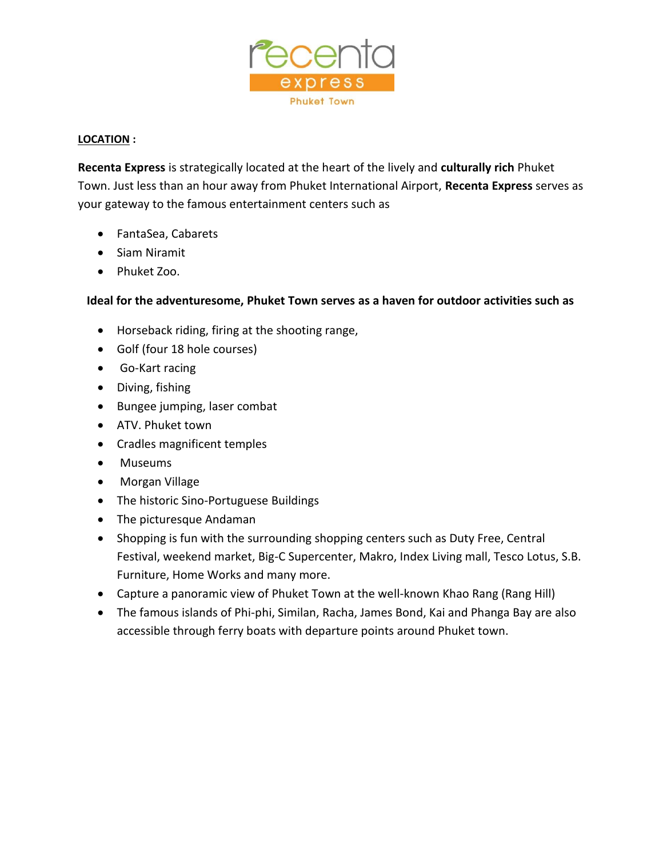

# **LOCATION :**

**Recenta Express** is strategically located at the heart of the lively and **culturally rich** Phuket Town. Just less than an hour away from Phuket International Airport, **Recenta Express** serves as your gateway to the famous entertainment centers such as

- FantaSea, Cabarets
- Siam Niramit
- Phuket Zoo.

# **Ideal for the adventuresome, Phuket Town serves as a haven for outdoor activities such as**

- Horseback riding, firing at the shooting range,
- Golf (four 18 hole courses)
- Go-Kart racing
- Diving, fishing
- Bungee jumping, laser combat
- ATV. Phuket town
- Cradles magnificent temples
- Museums
- Morgan Village
- The historic Sino-Portuguese Buildings
- The picturesque Andaman
- Shopping is fun with the surrounding shopping centers such as Duty Free, Central Festival, weekend market, Big-C Supercenter, Makro, Index Living mall, Tesco Lotus, S.B. Furniture, Home Works and many more.
- Capture a panoramic view of Phuket Town at the well-known Khao Rang (Rang Hill)
- The famous islands of Phi-phi, Similan, Racha, James Bond, Kai and Phanga Bay are also accessible through ferry boats with departure points around Phuket town.